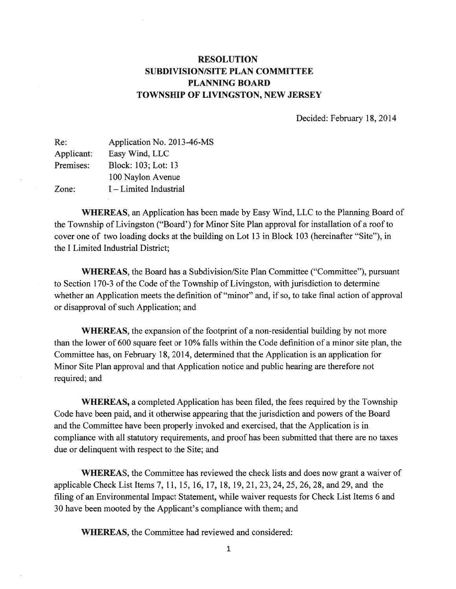## RESOLUTION SUBDIVISION/SITE PLAN COMMITTEE PLANNING BOARD TOWNSHIP OF LIVINGSTON, NEW JERSEY

Decided: February 18, 2014

| Application No. 2013-46-MS |
|----------------------------|
| Easy Wind, LLC             |
| Block: 103; Lot: 13        |
| 100 Naylon Avenue          |
| I – Limited Industrial     |
|                            |

WHEREAS, an Application has been made by Easy Wind, LLC to the Planning Board of the Township of Livingston ("Board') for Minor Site Plan approval for installation of <sup>a</sup> roof to cover one of two loading docks at the building on Lot 13 in Block 103 (hereinafter "Site"), in the I Limited Industrial District;

WHEREAS, the Board has <sup>a</sup> Subdivision/Site Plan Committee ("Committee"), pursuan<sup>t</sup> to Section 170-3 of the Code of the Township of Livingston, with jurisdiction to determine whether an Application meets the definition of "minor" and, if so, to take final action of approval or disapproval of such Application; and

WHEREAS, the expansion of the footprint of a non-residential building by not more than the lower of 600 square feet or 10% falls within the Code definition of <sup>a</sup> minor site plan, the Committee has, on February 18, 2014, determined that the Application is an application for Minor Site Plan approval and that Application notice and public hearing are therefore not required; and

WHEREAS, <sup>a</sup> completed Application has been filed, the fees required by the Township Code have been paid, and it otherwise appearing that the jurisdiction and powers of the Board and the Committee have been properly invoked and exercised, that the Application is in compliance with all statutory requirements, and proof has been submitted that there are no taxes due or delinquent with respec<sup>t</sup> to the Site; and

WHEREAS, the Committee has reviewed the check lists and does now gran<sup>t</sup> <sup>a</sup> waiver of applicable Check List Items 7, 11, 15, 16, 17, 18, 19, 21, 23, 24, 25, 26, 28, and 29, and the filing of an Environmental Impact Statement, while waiver requests for Check List Items 6 and 30 have been mooted by the Applicant's compliance with them; and

WHEREAS, the Committee had reviewed and considered:

1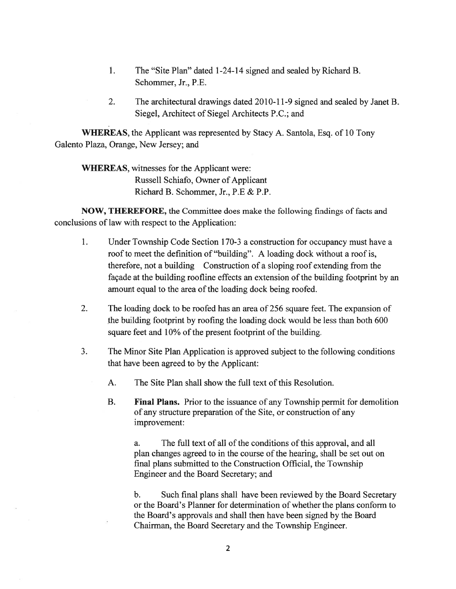- 1. The "Site Plan" dated 1-24-14 signed and sealed by Richard B. Schommer, Jr., P.E.
- 2. The architectural drawings dated 2010-11-9 signed and sealed by Janet B. Siegel, Architect of Siegel Architects P.C.; and

WHEREAS, the Applicant was represented by Stacy A. Santola, Esq. of 10 Tony Galento Plaza, Orange, New Jersey; and

WHEREAS, witnesses for the Applicant were: Russell Schiafo, Owner of Applicant Richard B. Schommer, Jr., P.E & P.P.

NOW, THEREFORE, the Committee does make the following findings of facts and conclusions of law with respec<sup>t</sup> to the Application:

- 1. Under Township Code Section 170-3 <sup>a</sup> construction for occupancy must have <sup>a</sup> roof to meet the definition of "building". A loading dock without <sup>a</sup> roof is, therefore, not <sup>a</sup> building Construction of <sup>a</sup> sloping roof extending from the façade at the building roofline effects an extension of the building footprint by an amount equal to the area of the loading dock being roofed.
- 2. The loading dock to be roofed has an area of 256 square feet. The expansion of the building footprint by roofing the loading dock would be less than both 600 square feet and 10% of the present footprint of the building.
- 3. The Minor Site Plan Application is approved subject to the following conditions that have been agreed to by the Applicant:
	- A. The Site Plan shall show the full text of this Resolution.
	- B. Final Plans. Prior to the issuance of any Township permit for demolition of any structure preparation of the Site, or construction of any improvement:

a. The full text of all of the conditions of this approval, and all plan changes agreed to in the course of the hearing, shall be set out on final plans submitted to the Construction Official, the Township Engineer and the Board Secretary; and

b. Such final plans shall have been reviewed by the Board Secretary or the Board's Planner for determination of whether the plans conform to the Board's approvals and shall then have been signed by the Board Chairman, the Board Secretary and the Township Engineer.